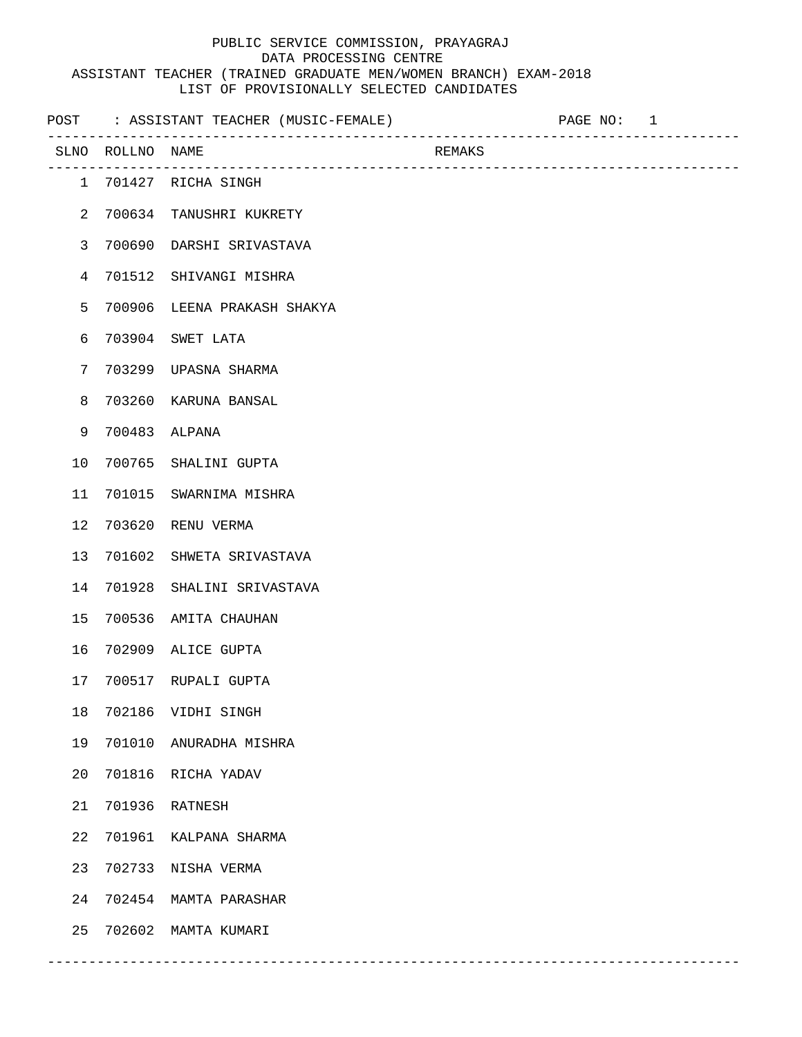## PUBLIC SERVICE COMMISSION, PRAYAGRAJ DATA PROCESSING CENTRE ASSISTANT TEACHER (TRAINED GRADUATE MEN/WOMEN BRANCH) EXAM-2018 LIST OF PROVISIONALLY SELECTED CANDIDATES

|                |                  | POST : ASSISTANT TEACHER (MUSIC-FEMALE) |        | PAGE NO: 1 |  |
|----------------|------------------|-----------------------------------------|--------|------------|--|
|                | SLNO ROLLNO NAME |                                         | REMAKS |            |  |
|                |                  | 1 701427 RICHA SINGH                    |        |            |  |
| $\overline{2}$ |                  | 700634 TANUSHRI KUKRETY                 |        |            |  |
| $\mathsf{3}$   |                  | 700690 DARSHI SRIVASTAVA                |        |            |  |
| $\overline{4}$ |                  | 701512 SHIVANGI MISHRA                  |        |            |  |
| 5              |                  | 700906 LEENA PRAKASH SHAKYA             |        |            |  |
| 6              |                  | 703904 SWET LATA                        |        |            |  |
| 7              |                  | 703299 UPASNA SHARMA                    |        |            |  |
| 8              | 703260           | KARUNA BANSAL                           |        |            |  |
| 9              | 700483           | ALPANA                                  |        |            |  |
| 10             |                  | 700765 SHALINI GUPTA                    |        |            |  |
| 11             | 701015           | SWARNIMA MISHRA                         |        |            |  |
| 12             | 703620           | RENU VERMA                              |        |            |  |
| 13             | 701602           | SHWETA SRIVASTAVA                       |        |            |  |
| 14             | 701928           | SHALINI SRIVASTAVA                      |        |            |  |
| 15             |                  | 700536 AMITA CHAUHAN                    |        |            |  |
| 16             |                  | 702909 ALICE GUPTA                      |        |            |  |
| 17             |                  | 700517 RUPALI GUPTA                     |        |            |  |
| 18             |                  | 702186 VIDHI SINGH                      |        |            |  |
| 19             |                  | 701010 ANURADHA MISHRA                  |        |            |  |
| 20             |                  | 701816 RICHA YADAV                      |        |            |  |
| 21             |                  | 701936 RATNESH                          |        |            |  |
| 22             | 701961           | KALPANA SHARMA                          |        |            |  |
| 23             |                  | 702733 NISHA VERMA                      |        |            |  |
| 24             |                  | 702454 MAMTA PARASHAR                   |        |            |  |
| 25             |                  | 702602 MAMTA KUMARI                     |        |            |  |

------------------------------------------------------------------------------------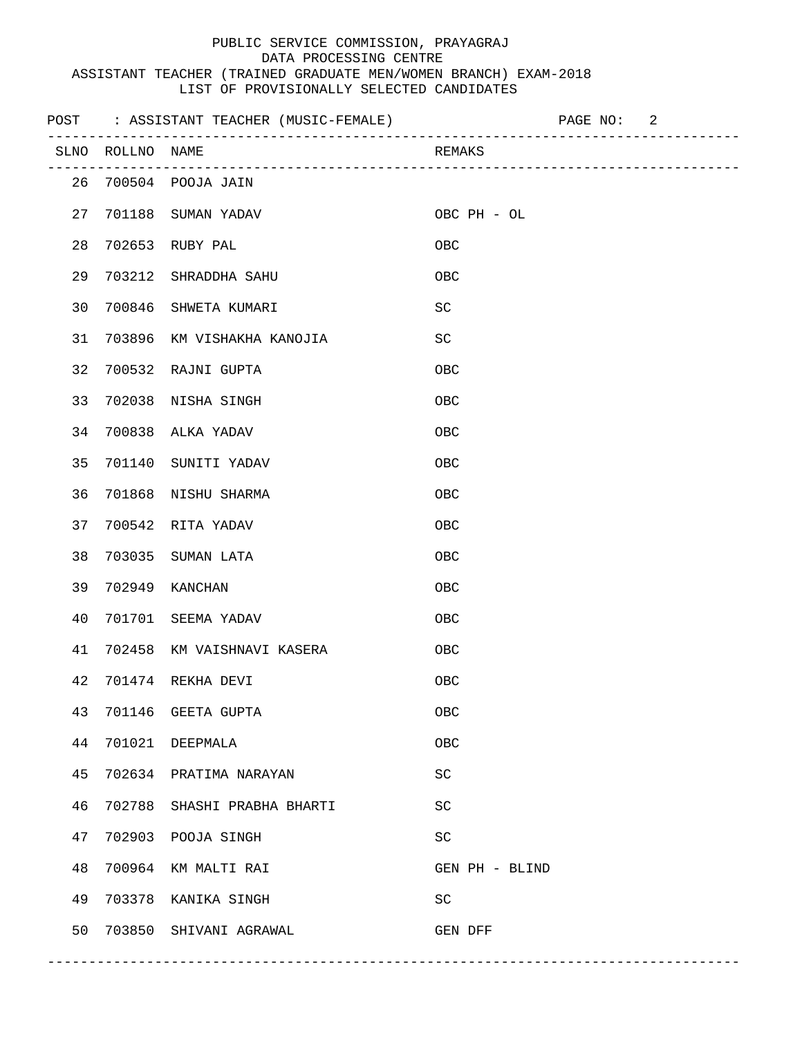## PUBLIC SERVICE COMMISSION, PRAYAGRAJ DATA PROCESSING CENTRE ASSISTANT TEACHER (TRAINED GRADUATE MEN/WOMEN BRANCH) EXAM-2018 LIST OF PROVISIONALLY SELECTED CANDIDATES

|    |                  | POST : ASSISTANT TEACHER (MUSIC-FEMALE) | PAGE NO: 2                  |  |
|----|------------------|-----------------------------------------|-----------------------------|--|
|    | SLNO ROLLNO NAME |                                         | REMAKS                      |  |
|    |                  | 26 700504 POOJA JAIN                    |                             |  |
| 27 |                  | 701188 SUMAN YADAV                      | OBC PH - OL                 |  |
| 28 |                  | 702653 RUBY PAL                         | OBC                         |  |
| 29 |                  | 703212 SHRADDHA SAHU                    | OBC                         |  |
| 30 |                  | 700846 SHWETA KUMARI                    | SC                          |  |
| 31 |                  | 703896 KM VISHAKHA KANOJIA              | SC                          |  |
| 32 |                  | 700532 RAJNI GUPTA                      | OBC                         |  |
| 33 |                  | 702038 NISHA SINGH                      | OBC                         |  |
| 34 |                  | 700838 ALKA YADAV                       | <b>OBC</b>                  |  |
| 35 |                  | 701140 SUNITI YADAV                     | OBC                         |  |
| 36 |                  | 701868 NISHU SHARMA                     | OBC                         |  |
| 37 |                  | 700542 RITA YADAV                       | OBC                         |  |
| 38 | 703035           | SUMAN LATA                              | OBC                         |  |
| 39 | 702949           | KANCHAN                                 | OBC                         |  |
| 40 |                  | 701701 SEEMA YADAV                      | OBC                         |  |
| 41 |                  | 702458 KM VAISHNAVI KASERA              | OBC                         |  |
| 42 |                  | 701474 REKHA DEVI                       | OBC                         |  |
| 43 |                  | 701146 GEETA GUPTA                      | ${\sf OBC}$                 |  |
| 44 |                  | 701021 DEEPMALA                         | ${\sf OBC}$                 |  |
| 45 |                  | 702634 PRATIMA NARAYAN                  | $\protect\operatorname{SC}$ |  |
| 46 |                  | 702788 SHASHI PRABHA BHARTI             | $\protect\operatorname{SC}$ |  |
| 47 |                  | 702903 POOJA SINGH                      | $\protect\operatorname{SC}$ |  |
| 48 |                  | 700964 KM MALTI RAI                     | GEN PH - BLIND              |  |
| 49 |                  | 703378 KANIKA SINGH                     | SC                          |  |
| 50 |                  | 703850 SHIVANI AGRAWAL                  | GEN DFF                     |  |